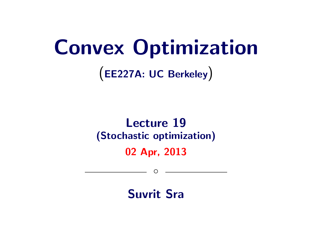# Convex Optimization

(EE227A: UC Berkeley)

# Lecture 19 (Stochastic optimization)

02 Apr, 2013

 $\circ$ 

Suvrit Sra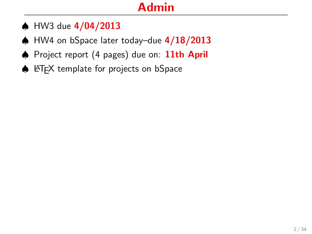# Admin

- ♠ HW3 due 4/04/2013
- ♠ HW4 on bSpace later today–due 4/18/2013
- ♠ Project report (4 pages) due on: 11th April
- ♠ LATEX template for projects on bSpace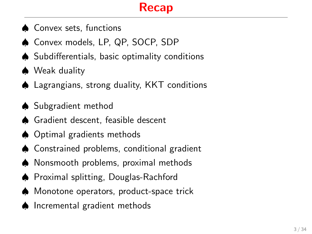## Recap

- ♠ Convex sets, functions
- ♠ Convex models, LP, QP, SOCP, SDP
- ♠ Subdifferentials, basic optimality conditions
- ♠ Weak duality
- ♠ Lagrangians, strong duality, KKT conditions
- ♠ Subgradient method
- ♠ Gradient descent, feasible descent
- ♠ Optimal gradients methods
- ♠ Constrained problems, conditional gradient
- ♠ Nonsmooth problems, proximal methods
- ♠ Proximal splitting, Douglas-Rachford
- ♠ Monotone operators, product-space trick
- ♠ Incremental gradient methods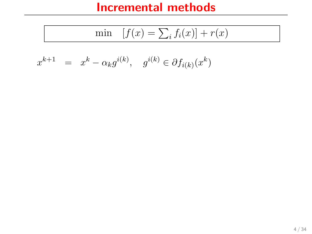$$
\min \quad [f(x) = \sum_i f_i(x)] + r(x)
$$

$$
x^{k+1} = x^k - \alpha_k g^{i(k)}, \quad g^{i(k)} \in \partial f_{i(k)}(x^k)
$$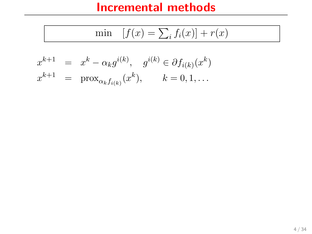$$
\min \quad [f(x) = \sum_i f_i(x)] + r(x)
$$

$$
x^{k+1} = x^k - \alpha_k g^{i(k)}, \quad g^{i(k)} \in \partial f_{i(k)}(x^k)
$$
  

$$
x^{k+1} = \text{prox}_{\alpha_k f_{i(k)}}(x^k), \quad k = 0, 1, ...
$$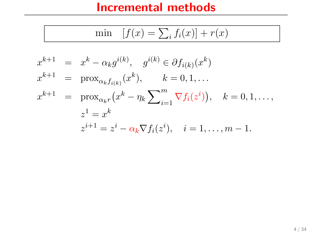$$
\min \quad [f(x) = \sum_i f_i(x)] + r(x)
$$

$$
x^{k+1} = x^k - \alpha_k g^{i(k)}, \quad g^{i(k)} \in \partial f_{i(k)}(x^k)
$$
  
\n
$$
x^{k+1} = \text{prox}_{\alpha_k f_{i(k)}}(x^k), \quad k = 0, 1, ...
$$
  
\n
$$
x^{k+1} = \text{prox}_{\alpha_k r}(x^k - \eta_k \sum_{i=1}^m \nabla f_i(z^i)), \quad k = 0, 1, ...,
$$
  
\n
$$
z^1 = x^k
$$
  
\n
$$
z^{i+1} = z^i - \alpha_k \nabla f_i(z^i), \quad i = 1, ..., m - 1.
$$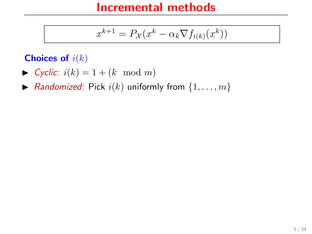$$
x^{k+1} = P_{\mathcal{X}}(x^k - \alpha_k \nabla f_{i(k)}(x^k))
$$

#### Choices of  $i(k)$

- $\blacktriangleright$  Cyclic:  $i(k) = 1 + (k \mod m)$
- $\blacktriangleright$  Randomized: Pick  $i(k)$  uniformly from  $\{1, \ldots, m\}$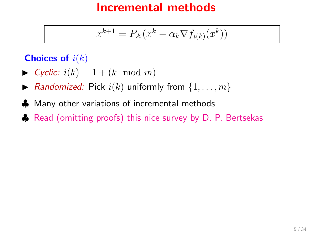$$
x^{k+1} = P_{\mathcal{X}}(x^k - \alpha_k \nabla f_{i(k)}(x^k))
$$

#### Choices of  $i(k)$

- $\blacktriangleright$  Cyclic:  $i(k) = 1 + (k \mod m)$
- $\blacktriangleright$  Randomized: Pick  $i(k)$  uniformly from  $\{1, \ldots, m\}$
- ♣ Many other variations of incremental methods
- ♦ [Read \(omitting proofs\) this nice survey by D. P. Bertsekas](http://web.mit.edu/dimitrib/www/Incremental_Survey_LIDS.pdf)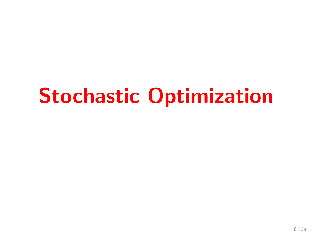# Stochastic Optimization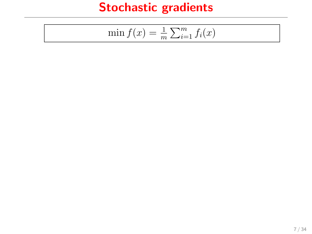$$
\min f(x) = \frac{1}{m} \sum_{i=1}^{m} f_i(x)
$$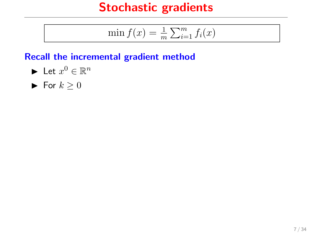$$
\min f(x) = \frac{1}{m} \sum_{i=1}^{m} f_i(x)
$$

#### Recall the incremental gradient method

- $\blacktriangleright$  Let  $x^0 \in \mathbb{R}^n$
- $\blacktriangleright$  For  $k > 0$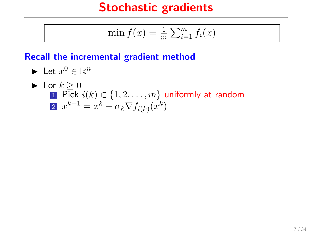$$
\min f(x) = \frac{1}{m} \sum_{i=1}^{m} f_i(x)
$$

#### Recall the incremental gradient method

\n- Let 
$$
x^0 \in \mathbb{R}^n
$$
\n- For  $k \geq 0$
\n- Pick  $i(k) \in \{1, 2, \ldots, m\}$  uniformly at random
\n- Let  $x^{k+1} = x^k - \alpha_k \nabla f_{i(k)}(x^k)$
\n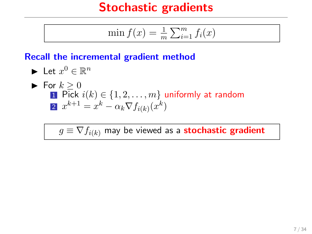$$
\min f(x) = \frac{1}{m} \sum_{i=1}^{m} f_i(x)
$$

#### Recall the incremental gradient method

\n- Let 
$$
x^0 \in \mathbb{R}^n
$$
\n- For  $k \geq 0$
\n- Pick  $i(k) \in \{1, 2, \ldots, m\}$  uniformly at random
\n- Let  $x^{k+1} = x^k - \alpha_k \nabla f_{i(k)}(x^k)$
\n

 $g \equiv \nabla f_{i(k)}$  may be viewed as a **stochastic gradient**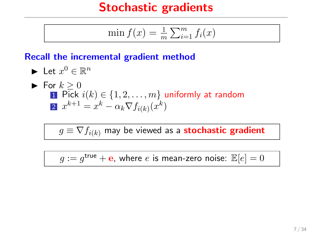$$
\min f(x) = \frac{1}{m} \sum_{i=1}^{m} f_i(x)
$$

#### Recall the incremental gradient method

\n- Let 
$$
x^0 \in \mathbb{R}^n
$$
\n- For  $k \geq 0$
\n- Pick  $i(k) \in \{1, 2, \ldots, m\}$  uniformly at random
\n- Let  $i(k) \in \{1, 2, \ldots, m\}$  uniformly at random
\n

 $g \equiv \nabla f_{i(k)}$  may be viewed as a **stochastic gradient** 

 $g:=g^{\mathsf{true}}+\mathbf{e}$ , where  $e$  is mean-zero noise:  $\mathbb{E}[e]=0$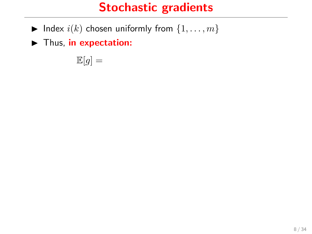- $\blacktriangleright$  Index  $i(k)$  chosen uniformly from  $\{1, \ldots, m\}$
- $\blacktriangleright$  Thus, in expectation:

 $\mathbb{E}[g] =$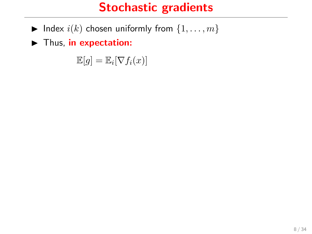- $\blacktriangleright$  Index  $i(k)$  chosen uniformly from  $\{1, \ldots, m\}$
- $\blacktriangleright$  Thus, in expectation:

 $\mathbb{E}[g] = \mathbb{E}_i[\nabla f_i(x)]$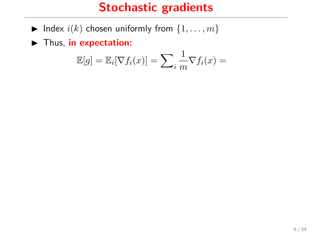- $\blacktriangleright$  Index  $i(k)$  chosen uniformly from  $\{1, \ldots, m\}$
- $\blacktriangleright$  Thus, in expectation:

$$
\mathbb{E}[g] = \mathbb{E}_i[\nabla f_i(x)] = \sum_i \frac{1}{m} \nabla f_i(x) =
$$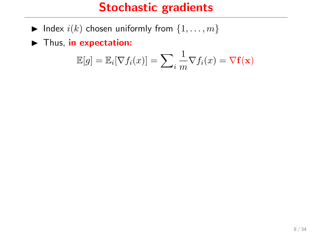- $\blacktriangleright$  Index  $i(k)$  chosen uniformly from  $\{1, \ldots, m\}$
- $\blacktriangleright$  Thus, in expectation:

$$
\mathbb{E}[g] = \mathbb{E}_i[\nabla f_i(x)] = \sum_i \frac{1}{m} \nabla f_i(x) = \nabla \mathbf{f}(\mathbf{x})
$$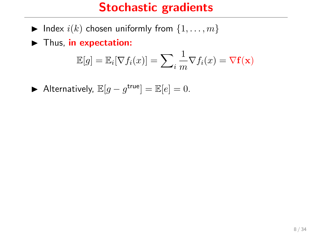- $\blacktriangleright$  Index  $i(k)$  chosen uniformly from  $\{1, \ldots, m\}$
- $\blacktriangleright$  Thus, in expectation:

$$
\mathbb{E}[g] = \mathbb{E}_i[\nabla f_i(x)] = \sum_i \frac{1}{m} \nabla f_i(x) = \nabla \mathbf{f}(\mathbf{x})
$$

Alternatively,  $\mathbb{E}[g - g^{\text{true}}] = \mathbb{E}[e] = 0$ .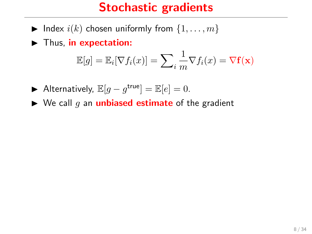- $\blacktriangleright$  Index  $i(k)$  chosen uniformly from  $\{1, \ldots, m\}$
- $\blacktriangleright$  Thus, in expectation:

$$
\mathbb{E}[g] = \mathbb{E}_i[\nabla f_i(x)] = \sum_i \frac{1}{m} \nabla f_i(x) = \nabla \mathbf{f}(\mathbf{x})
$$

- Alternatively,  $\mathbb{E}[g g^{\text{true}}] = \mathbb{E}[e] = 0$ .
- $\triangleright$  We call g an **unbiased estimate** of the gradient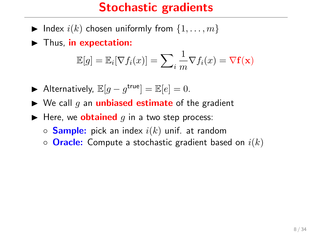- $\blacktriangleright$  Index  $i(k)$  chosen uniformly from  $\{1, \ldots, m\}$
- $\blacktriangleright$  Thus, in expectation:

$$
\mathbb{E}[g] = \mathbb{E}_i[\nabla f_i(x)] = \sum_i \frac{1}{m} \nabla f_i(x) = \nabla \mathbf{f}(\mathbf{x})
$$

- Alternatively,  $\mathbb{E}[g g^{\text{true}}] = \mathbb{E}[e] = 0$ .
- $\triangleright$  We call g an **unbiased estimate** of the gradient
- $\blacktriangleright$  Here, we **obtained** q in a two step process:
	- $\circ$  **Sample:** pick an index  $i(k)$  unif. at random
	- $\circ$  **Oracle:** Compute a stochastic gradient based on  $i(k)$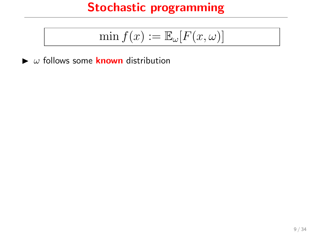$$
\min f(x) := \mathbb{E}_{\omega}[F(x,\omega)]
$$

 $\blacktriangleright$   $\omega$  follows some **known** distribution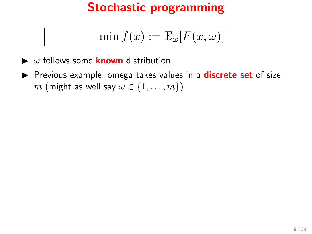$$
\min f(x) := \mathbb{E}_{\omega}[F(x,\omega)]
$$

- $\blacktriangleright$   $\omega$  follows some **known** distribution
- Previous example, omega takes values in a **discrete set** of size m (might as well say  $\omega \in \{1, \ldots, m\}$ )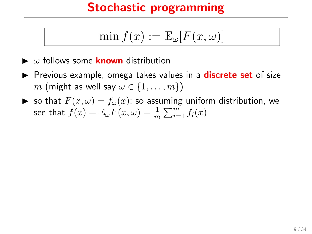$$
\min f(x) := \mathbb{E}_{\omega}[F(x,\omega)]
$$

- $\blacktriangleright$   $\omega$  follows some **known** distribution
- **P** Previous example, omega takes values in a **discrete set** of size m (might as well say  $\omega \in \{1, \ldots, m\}$ )
- $\triangleright$  so that  $F(x, \omega) = f_{\omega}(x)$ ; so assuming uniform distribution, we see that  $f(x) = \mathbb{E}_{\omega} F(x,\omega) = \frac{1}{m} \sum_{i=1}^{m} f_i(x)$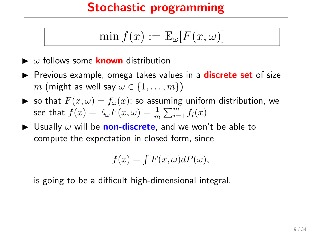$$
\min f(x) := \mathbb{E}_{\omega}[F(x,\omega)]
$$

- $\blacktriangleright$   $\omega$  follows some **known** distribution
- **P** Previous example, omega takes values in a **discrete set** of size m (might as well say  $\omega \in \{1, \ldots, m\}$ )
- $\triangleright$  so that  $F(x, \omega) = f_{\omega}(x)$ ; so assuming uniform distribution, we see that  $f(x) = \mathbb{E}_{\omega} F(x,\omega) = \frac{1}{m} \sum_{i=1}^{m} f_i(x)$
- $\triangleright$  Usually  $\omega$  will be non-discrete, and we won't be able to compute the expectation in closed form, since

$$
f(x) = \int F(x, \omega) dP(\omega),
$$

is going to be a difficult high-dimensional integral.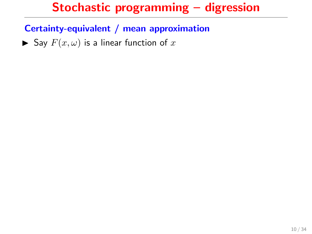Certainty-equivalent / mean approximation

 $\blacktriangleright$  Say  $F(x, \omega)$  is a linear function of x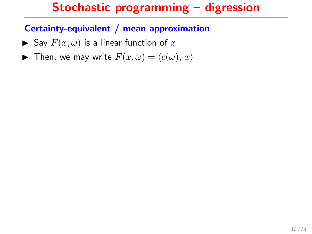- $\blacktriangleright$  Say  $F(x, \omega)$  is a linear function of x
- **I** Then, we may write  $F(x, \omega) = \langle c(\omega), x \rangle$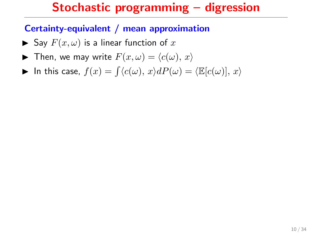- $\blacktriangleright$  Say  $F(x, \omega)$  is a linear function of x
- **I** Then, we may write  $F(x, \omega) = \langle c(\omega), x \rangle$

$$
\blacktriangleright \text{ In this case, } f(x) = \int \langle c(\omega), x \rangle dP(\omega) = \langle \mathbb{E}[c(\omega)], x \rangle
$$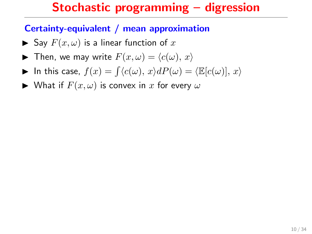- $\blacktriangleright$  Say  $F(x, \omega)$  is a linear function of x
- **I** Then, we may write  $F(x, \omega) = \langle c(\omega), x \rangle$
- In this case,  $f(x) = \int \langle c(\omega), x \rangle dP(\omega) = \langle \mathbb{E}[c(\omega)], x \rangle$
- $\blacktriangleright$  What if  $F(x, \omega)$  is convex in x for every  $\omega$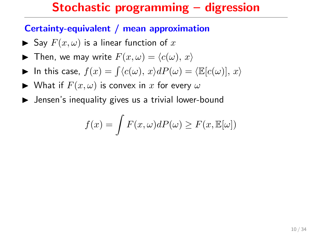- $\blacktriangleright$  Say  $F(x, \omega)$  is a linear function of x
- **I** Then, we may write  $F(x, \omega) = \langle c(\omega), x \rangle$
- In this case,  $f(x) = \int \langle c(\omega), x \rangle dP(\omega) = \langle \mathbb{E}[c(\omega)], x \rangle$
- $\blacktriangleright$  What if  $F(x, \omega)$  is convex in x for every  $\omega$
- $\blacktriangleright$  Jensen's inequality gives us a trivial lower-bound

$$
f(x) = \int F(x, \omega) dP(\omega) \ge F(x, \mathbb{E}[\omega])
$$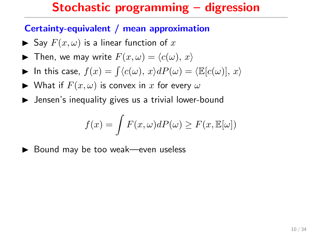#### Certainty-equivalent / mean approximation

- $\blacktriangleright$  Say  $F(x, \omega)$  is a linear function of x
- **I** Then, we may write  $F(x, \omega) = \langle c(\omega), x \rangle$
- In this case,  $f(x) = \int \langle c(\omega), x \rangle dP(\omega) = \langle \mathbb{E}[c(\omega)], x \rangle$
- $\blacktriangleright$  What if  $F(x, \omega)$  is convex in x for every  $\omega$
- $\blacktriangleright$  Jensen's inequality gives us a trivial lower-bound

$$
f(x) = \int F(x, \omega) dP(\omega) \ge F(x, \mathbb{E}[\omega])
$$

 $\blacktriangleright$  Bound may be too weak—even useless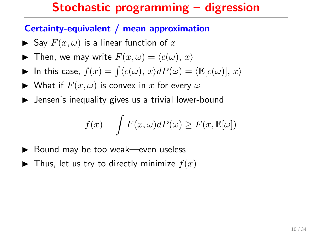- $\blacktriangleright$  Say  $F(x, \omega)$  is a linear function of x
- **I** Then, we may write  $F(x, \omega) = \langle c(\omega), x \rangle$
- In this case,  $f(x) = \int \langle c(\omega), x \rangle dP(\omega) = \langle \mathbb{E}[c(\omega)], x \rangle$
- $\blacktriangleright$  What if  $F(x, \omega)$  is convex in x for every  $\omega$
- $\blacktriangleright$  Jensen's inequality gives us a trivial lower-bound

$$
f(x) = \int F(x, \omega) dP(\omega) \ge F(x, \mathbb{E}[\omega])
$$

- $\blacktriangleright$  Bound may be too weak—even useless
- $\blacktriangleright$  Thus, let us try to directly minimize  $f(x)$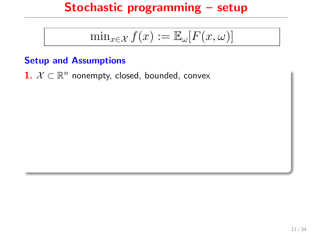$$
\min_{x \in \mathcal{X}} f(x) := \mathbb{E}_{\omega}[F(x, \omega)]
$$

#### Setup and Assumptions

1.  $\mathcal{X} \subset \mathbb{R}^n$  nonempty, closed, bounded, convex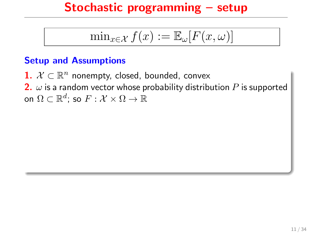$$
\min_{x \in \mathcal{X}} f(x) := \mathbb{E}_{\omega}[F(x, \omega)]
$$

#### Setup and Assumptions

1.  $\mathcal{X} \subset \mathbb{R}^n$  nonempty, closed, bounded, convex 2.  $\omega$  is a random vector whose probability distribution P is supported on  $\Omega \subset \mathbb{R}^d$ ; so  $F: \mathcal{X} \times \Omega \rightarrow \mathbb{R}$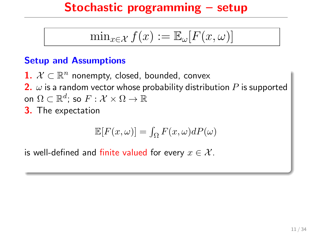$$
\min_{x \in \mathcal{X}} f(x) := \mathbb{E}_{\omega}[F(x, \omega)]
$$

#### Setup and Assumptions

1.  $\mathcal{X} \subset \mathbb{R}^n$  nonempty, closed, bounded, convex 2.  $\omega$  is a random vector whose probability distribution P is supported on  $\Omega \subset \mathbb{R}^d$ ; so  $F: \mathcal{X} \times \Omega \rightarrow \mathbb{R}$ 3. The expectation

$$
\mathbb{E}[F(x,\omega)]=\int_\Omega F(x,\omega)dP(\omega)
$$

is well-defined and finite valued for every  $x \in \mathcal{X}$ .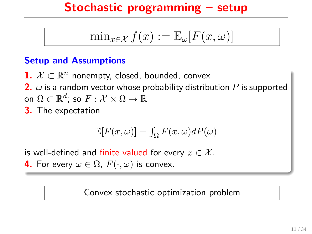$$
\min_{x \in \mathcal{X}} f(x) := \mathbb{E}_{\omega}[F(x, \omega)]
$$

#### Setup and Assumptions

1.  $\mathcal{X} \subset \mathbb{R}^n$  nonempty, closed, bounded, convex 2.  $\omega$  is a random vector whose probability distribution P is supported on  $\Omega \subset \mathbb{R}^d$ ; so  $F: \mathcal{X} \times \Omega \rightarrow \mathbb{R}$ 3. The expectation

$$
\mathbb{E}[F(x,\omega)]=\int_\Omega F(x,\omega)dP(\omega)
$$

is well-defined and finite valued for every  $x \in \mathcal{X}$ . **4.** For every  $\omega \in \Omega$ ,  $F(\cdot, \omega)$  is convex.

#### Convex stochastic optimization problem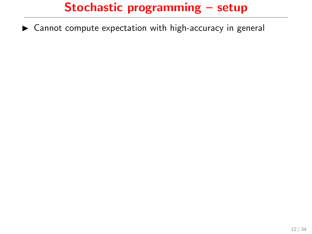$\triangleright$  Cannot compute expectation with high-accuracy in general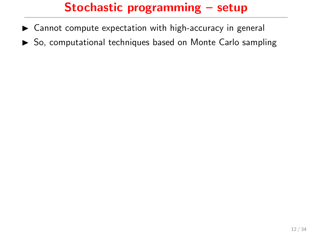- $\triangleright$  Cannot compute expectation with high-accuracy in general
- $\triangleright$  So, computational techniques based on Monte Carlo sampling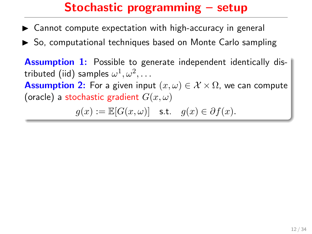- $\triangleright$  Cannot compute expectation with high-accuracy in general
- $\triangleright$  So, computational techniques based on Monte Carlo sampling

**Assumption 1:** Possible to generate independent identically distributed (iid) samples  $\omega^1, \omega^2, \ldots$ **Assumption 2:** For a given input  $(x, \omega) \in \mathcal{X} \times \Omega$ , we can compute (oracle) a stochastic gradient  $G(x, \omega)$ 

$$
g(x):=\mathbb{E}[G(x,\omega)]\quad \text{s.t.}\quad g(x)\in\partial f(x).
$$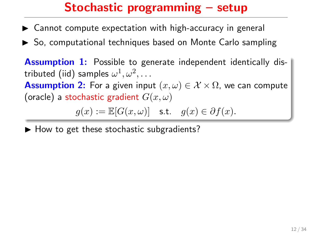- $\triangleright$  Cannot compute expectation with high-accuracy in general
- $\triangleright$  So, computational techniques based on Monte Carlo sampling

**Assumption 1:** Possible to generate independent identically distributed (iid) samples  $\omega^1, \omega^2, \ldots$ **Assumption 2:** For a given input  $(x, \omega) \in \mathcal{X} \times \Omega$ , we can compute (oracle) a stochastic gradient  $G(x, \omega)$ 

$$
g(x):=\mathbb{E}[G(x,\omega)]\quad \text{s.t.}\quad g(x)\in\partial f(x).
$$

 $\blacktriangleright$  How to get these stochastic subgradients?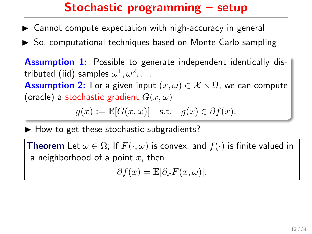- $\triangleright$  Cannot compute expectation with high-accuracy in general
- $\triangleright$  So, computational techniques based on Monte Carlo sampling

**Assumption 1:** Possible to generate independent identically distributed (iid) samples  $\omega^1, \omega^2, \ldots$ **Assumption 2:** For a given input  $(x, \omega) \in \mathcal{X} \times \Omega$ , we can compute (oracle) a stochastic gradient  $G(x, \omega)$ 

$$
g(x):=\mathbb{E}[G(x,\omega)]\quad \text{s.t.}\quad g(x)\in\partial f(x).
$$

 $\blacktriangleright$  How to get these stochastic subgradients?

**Theorem** Let  $\omega \in \Omega$ ; If  $F(\cdot, \omega)$  is convex, and  $f(\cdot)$  is finite valued in a neighborhood of a point  $x$ , then

$$
\partial f(x) = \mathbb{E}[\partial_x F(x,\omega)].
$$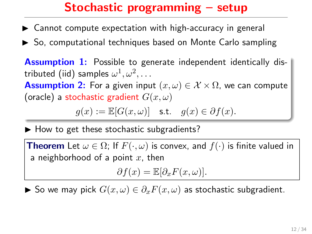- $\triangleright$  Cannot compute expectation with high-accuracy in general
- $\triangleright$  So, computational techniques based on Monte Carlo sampling

**Assumption 1:** Possible to generate independent identically distributed (iid) samples  $\omega^1, \omega^2, \ldots$ **Assumption 2:** For a given input  $(x, \omega) \in \mathcal{X} \times \Omega$ , we can compute (oracle) a stochastic gradient  $G(x, \omega)$ 

$$
g(x):=\mathbb{E}[G(x,\omega)]\quad \text{s.t.}\quad g(x)\in\partial f(x).
$$

 $\blacktriangleright$  How to get these stochastic subgradients?

**Theorem** Let  $\omega \in \Omega$ ; If  $F(\cdot, \omega)$  is convex, and  $f(\cdot)$  is finite valued in a neighborhood of a point  $x$ , then

$$
\partial f(x) = \mathbb{E}[\partial_x F(x,\omega)].
$$

► So we may pick  $G(x, \omega) \in \partial_x F(x, \omega)$  as stochastic subgradient.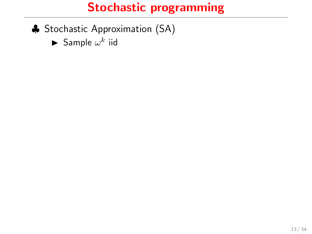- ♣ Stochastic Approximation (SA)
	- $\blacktriangleright$  Sample  $\omega^k$  iid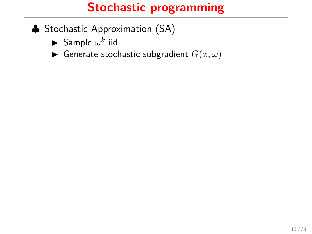- ♣ Stochastic Approximation (SA)
	- $\blacktriangleright$  Sample  $\omega^k$  iid
	- Generate stochastic subgradient  $G(x, \omega)$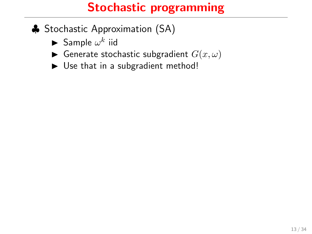- ♣ Stochastic Approximation (SA)
	- $\blacktriangleright$  Sample  $\omega^k$  iid
	- Generate stochastic subgradient  $G(x, \omega)$
	- $\triangleright$  Use that in a subgradient method!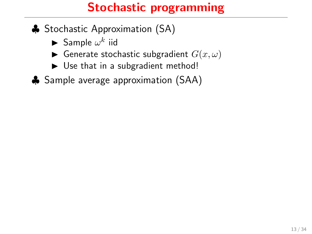- ♣ Stochastic Approximation (SA)
	- $\blacktriangleright$  Sample  $\omega^k$  iid
	- Generate stochastic subgradient  $G(x, \omega)$
	- $\triangleright$  Use that in a subgradient method!
- ♣ Sample average approximation (SAA)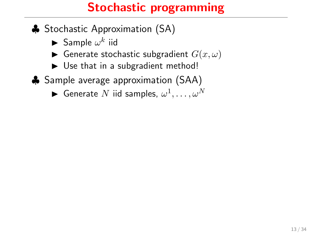- ♣ Stochastic Approximation (SA)
	- $\blacktriangleright$  Sample  $\omega^k$  iid
	- Generate stochastic subgradient  $G(x, \omega)$
	- $\triangleright$  Use that in a subgradient method!
- ♣ Sample average approximation (SAA)
	- $\blacktriangleright$  <code>Generate</code>  $N$  iid samples,  $\omega^1,\ldots,\omega^N$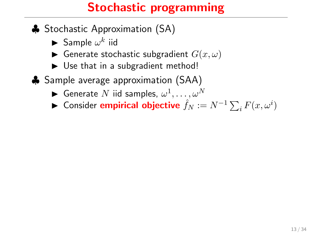- ♣ Stochastic Approximation (SA)
	- $\blacktriangleright$  Sample  $\omega^k$  iid
	- $\blacktriangleright$  Generate stochastic subgradient  $G(x, \omega)$
	- $\triangleright$  Use that in a subgradient method!
- ♣ Sample average approximation (SAA)
	- $\blacktriangleright$  <code>Generate</code>  $N$  iid samples,  $\omega^1,\ldots,\omega^N$
	- ► Consider empirical objective  $\hat{f}_N := N^{-1} \sum_i F(x, \omega^i)$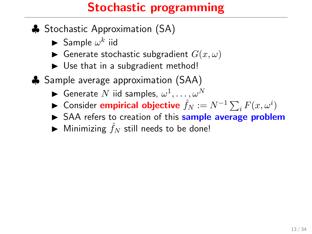- ♣ Stochastic Approximation (SA)
	- $\blacktriangleright$  Sample  $\omega^k$  iid
	- Generate stochastic subgradient  $G(x, \omega)$
	- $\triangleright$  Use that in a subgradient method!
- ♣ Sample average approximation (SAA)
	- $\blacktriangleright$  <code>Generate</code>  $N$  iid samples,  $\omega^1,\ldots,\omega^N$
	- ► Consider empirical objective  $\hat{f}_N := N^{-1} \sum_i F(x, \omega^i)$
	- $\triangleright$  SAA refers to creation of this **sample average problem**
	- $\blacktriangleright$  Minimizing  $\hat{f}_N$  still needs to be done!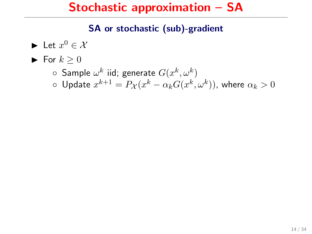### Stochastic approximation – SA

#### SA or stochastic (sub)-gradient

 $\blacktriangleright$  Let  $x^0 \in \mathcal{X}$  $\blacktriangleright$  For  $k > 0$  $\circ~$  Sample  $\omega^k$  iid; generate  $G(x^k,\omega^k)$  $\circ \ \mathsf{Update}\ x^{k+1} = P_{\mathcal{X}}(x^k - \alpha_k G(x^k,\omega^k)),$  where  $\alpha_k > 0$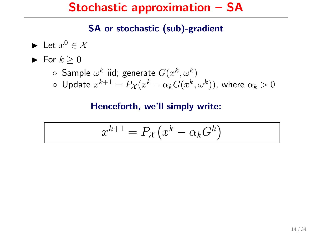### Stochastic approximation – SA

#### SA or stochastic (sub)-gradient

\n- Let 
$$
x^0 \in \mathcal{X}
$$
\n- For  $k \geq 0$
\n- Sample  $\omega^k$  iid; generate  $G(x^k, \omega^k)$
\n- Update  $x^{k+1} = P_{\mathcal{X}}(x^k - \alpha_k G(x^k, \omega^k))$ , where  $\alpha_k > 0$
\n

#### Henceforth, we'll simply write:

$$
x^{k+1} = P_{\mathcal{X}}(x^k - \alpha_k G^k)
$$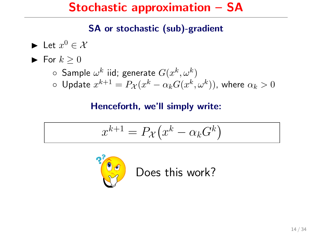### Stochastic approximation – SA

#### SA or stochastic (sub)-gradient

\n- Let 
$$
x^0 \in \mathcal{X}
$$
\n- For  $k \geq 0$
\n- Sample  $\omega^k$  iid; generate  $G(x^k, \omega^k)$
\n- Update  $x^{k+1} = P_{\mathcal{X}}(x^k - \alpha_k G(x^k, \omega^k))$ , where  $\alpha_k > 0$
\n

#### Henceforth, we'll simply write:

$$
x^{k+1} = P_{\mathcal{X}}(x^k - \alpha_k G^k)
$$



Does this work?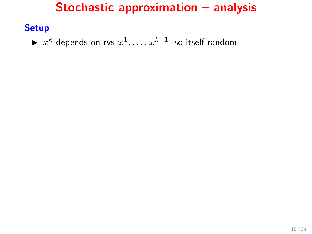### **Setup**

►  $x^k$  depends on rvs  $\omega^1,\ldots,\omega^{k-1}$ , so itself random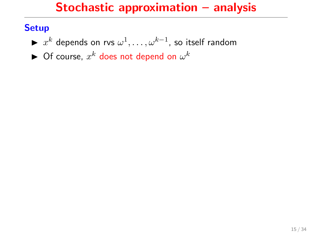### **Setup**

- ►  $x^k$  depends on rvs  $\omega^1,\ldots,\omega^{k-1}$ , so itself random
- $\blacktriangleright$  Of course,  $x^k$  does not depend on  $\omega^k$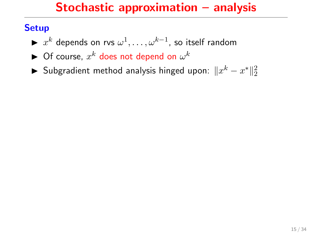### **Setup**

- ►  $x^k$  depends on rvs  $\omega^1,\ldots,\omega^{k-1}$ , so itself random
- $\blacktriangleright$  Of course,  $x^k$  does not depend on  $\omega^k$
- ► Subgradient method analysis hinged upon:  $\|x^k x^*\|_2^2$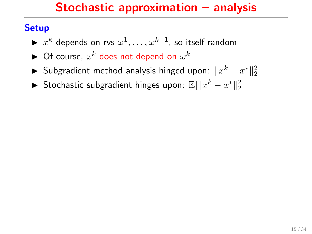### **Setup**

- ►  $x^k$  depends on rvs  $\omega^1,\ldots,\omega^{k-1}$ , so itself random
- $\blacktriangleright$  Of course,  $x^k$  does not depend on  $\omega^k$
- ► Subgradient method analysis hinged upon:  $\|x^k x^*\|_2^2$
- ▶ Stochastic subgradient hinges upon:  $\mathbb{E}[\|x^k x^*\|_2^2]$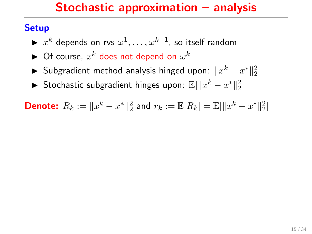### **Setup**

- ►  $x^k$  depends on rvs  $\omega^1,\ldots,\omega^{k-1}$ , so itself random
- $\blacktriangleright$  Of course,  $x^k$  does not depend on  $\omega^k$
- ► Subgradient method analysis hinged upon:  $\|x^k x^*\|_2^2$
- ▶ Stochastic subgradient hinges upon:  $\mathbb{E}[\|x^k x^*\|_2^2]$

**Denote:**  $R_k := \|x^k - x^*\|_2^2$  and  $r_k := \mathbb{E}[R_k] = \mathbb{E}[\|x^k - x^*\|_2^2]$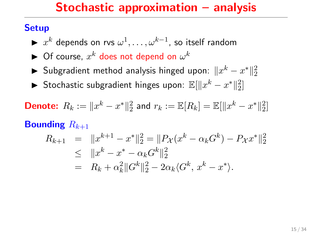### **Setup**

- ►  $x^k$  depends on rvs  $\omega^1,\ldots,\omega^{k-1}$ , so itself random
- $\blacktriangleright$  Of course,  $x^k$  does not depend on  $\omega^k$
- ► Subgradient method analysis hinged upon:  $\|x^k x^*\|_2^2$
- ▶ Stochastic subgradient hinges upon:  $\mathbb{E}[\|x^k x^*\|_2^2]$

**Denote:** 
$$
R_k := \|x^k - x^*\|_2^2
$$
 and  $r_k := \mathbb{E}[R_k] = \mathbb{E}[\|x^k - x^*\|_2^2]$ 

### **Bounding**  $R_{k+1}$

$$
R_{k+1} = ||x^{k+1} - x^*||_2^2 = ||P_{\mathcal{X}}(x^k - \alpha_k G^k) - P_{\mathcal{X}}x^*||_2^2
$$
  
\n
$$
\leq ||x^k - x^* - \alpha_k G^k||_2^2
$$
  
\n
$$
= R_k + \alpha_k^2 ||G^k||_2^2 - 2\alpha_k \langle G^k, x^k - x^* \rangle.
$$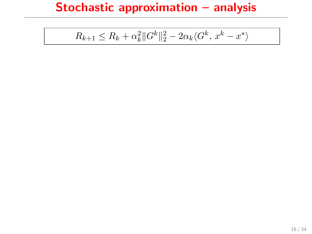$$
R_{k+1} \le R_k + \alpha_k^2 \|G^k\|_2^2 - 2\alpha_k \langle G^k, x^k - x^* \rangle
$$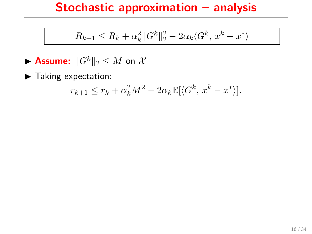$$
R_{k+1} \le R_k + \alpha_k^2 \|G^k\|_2^2 - 2\alpha_k \langle G^k, x^k - x^* \rangle
$$

- **Assume:**  $||G^k||_2 \leq M$  on X
- $\blacktriangleright$  Taking expectation:

$$
r_{k+1} \le r_k + \alpha_k^2 M^2 - 2\alpha_k \mathbb{E}[\langle G^k, x^k - x^* \rangle].
$$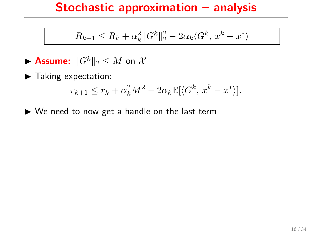$$
R_{k+1} \le R_k + \alpha_k^2 \|G^k\|_2^2 - 2\alpha_k \langle G^k, x^k - x^* \rangle
$$

- **Assume:**  $||G^k||_2 \leq M$  on X
- $\blacktriangleright$  Taking expectation:

$$
r_{k+1} \le r_k + \alpha_k^2 M^2 - 2\alpha_k \mathbb{E}[\langle G^k, x^k - x^* \rangle].
$$

 $\triangleright$  We need to now get a handle on the last term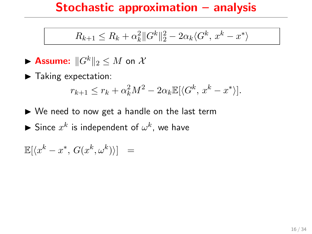$$
R_{k+1} \le R_k + \alpha_k^2 \|G^k\|_2^2 - 2\alpha_k \langle G^k, x^k - x^* \rangle
$$

- **Assume:**  $||G^k||_2 \leq M$  on X
- $\blacktriangleright$  Taking expectation:

$$
r_{k+1} \le r_k + \alpha_k^2 M^2 - 2\alpha_k \mathbb{E}[\langle G^k, x^k - x^* \rangle].
$$

 $\triangleright$  We need to now get a handle on the last term  $\blacktriangleright$  Since  $x^k$  is independent of  $\omega^k$ , we have

 $\mathbb{E}[\langle x^k-x^*,\,G(x^k,\omega^k)\rangle] =$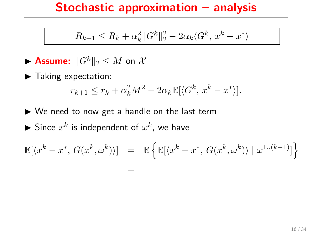$$
R_{k+1} \leq R_k + \alpha_k^2 \|G^k\|_2^2 - 2\alpha_k \langle G^k, x^k - x^* \rangle
$$

$$
\blacktriangleright \text{ Assume: } \|G^k\|_2 \leq M \text{ on } \mathcal{X}
$$

 $\blacktriangleright$  Taking expectation:

$$
r_{k+1} \le r_k + \alpha_k^2 M^2 - 2\alpha_k \mathbb{E}[\langle G^k, x^k - x^* \rangle].
$$

 $\triangleright$  We need to now get a handle on the last term  $\blacktriangleright$  Since  $x^k$  is independent of  $\omega^k$ , we have

$$
\mathbb{E}[\langle x^k - x^*, G(x^k, \omega^k) \rangle] = \mathbb{E}\left\{\mathbb{E}[\langle x^k - x^*, G(x^k, \omega^k) \rangle | \omega^{1..(k-1)}] \right\}
$$
  
=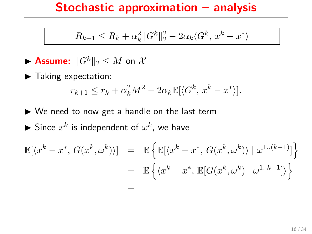$$
R_{k+1} \leq R_k + \alpha_k^2 \|G^k\|_2^2 - 2\alpha_k \langle G^k, x^k - x^* \rangle
$$

$$
\blacktriangleright \text{ Assume: } \|G^k\|_2 \leq M \text{ on } \mathcal{X}
$$

 $\blacktriangleright$  Taking expectation:

$$
r_{k+1} \le r_k + \alpha_k^2 M^2 - 2\alpha_k \mathbb{E}[\langle G^k, x^k - x^* \rangle].
$$

 $\triangleright$  We need to now get a handle on the last term  $\blacktriangleright$  Since  $x^k$  is independent of  $\omega^k$ , we have

$$
\mathbb{E}[\langle x^k - x^*, G(x^k, \omega^k) \rangle] = \mathbb{E} \left\{ \mathbb{E}[\langle x^k - x^*, G(x^k, \omega^k) \rangle | \omega^{1..(k-1)}] \right\}
$$
  

$$
= \mathbb{E} \left\{ \langle x^k - x^*, \mathbb{E}[G(x^k, \omega^k) | \omega^{1..k-1}] \rangle \right\}
$$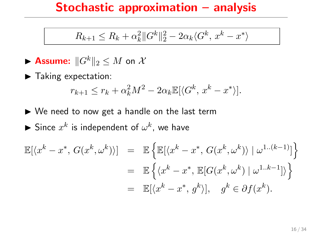$$
R_{k+1} \le R_k + \alpha_k^2 \|G^k\|_2^2 - 2\alpha_k \langle G^k, x^k - x^* \rangle
$$

$$
\blacktriangleright \text{ Assume: } \|G^k\|_2 \leq M \text{ on } \mathcal{X}
$$

 $\blacktriangleright$  Taking expectation:

$$
r_{k+1} \le r_k + \alpha_k^2 M^2 - 2\alpha_k \mathbb{E}[\langle G^k, x^k - x^* \rangle].
$$

 $\triangleright$  We need to now get a handle on the last term  $\blacktriangleright$  Since  $x^k$  is independent of  $\omega^k$ , we have

$$
\mathbb{E}[\langle x^k - x^*, G(x^k, \omega^k) \rangle] = \mathbb{E} \left\{ \mathbb{E}[\langle x^k - x^*, G(x^k, \omega^k) \rangle | \omega^{1..(k-1)}] \right\}
$$
  

$$
= \mathbb{E} \left\{ \langle x^k - x^*, \mathbb{E}[G(x^k, \omega^k) | \omega^{1..k-1}] \rangle \right\}
$$
  

$$
= \mathbb{E}[\langle x^k - x^*, g^k \rangle], g^k \in \partial f(x^k).
$$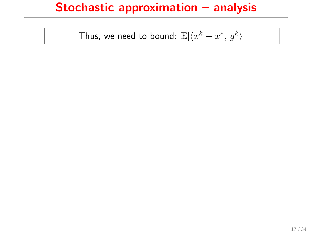Thus, we need to bound:  $\mathbb{E}[\langle x^k-x^*, \, g^k\rangle ]$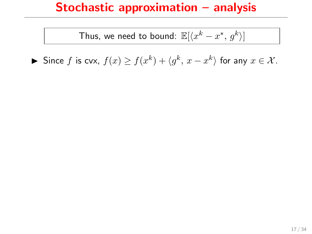Thus, we need to bound:  $\mathbb{E}[\langle x^k-x^*, \, g^k\rangle ]$ 

► Since  $f$  is cvx,  $f(x) \ge f(x^k) + \langle g^k, x - x^k \rangle$  for any  $x \in \mathcal{X}$ .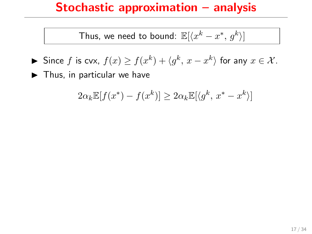Thus, we need to bound:  $\mathbb{E}[\langle x^k-x^*, \, g^k\rangle ]$ 

- ► Since  $f$  is cvx,  $f(x) \ge f(x^k) + \langle g^k, x x^k \rangle$  for any  $x \in \mathcal{X}$ .
- $\blacktriangleright$  Thus, in particular we have

$$
2\alpha_k \mathbb{E}[f(x^*) - f(x^k)] \ge 2\alpha_k \mathbb{E}[\langle g^k, x^* - x^k \rangle]
$$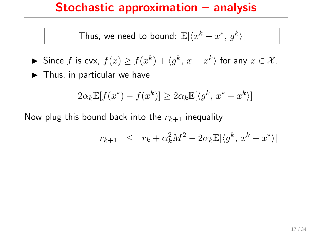Thus, we need to bound:  $\mathbb{E}[\langle x^k-x^*, \, g^k\rangle ]$ 

$$
\blacktriangleright \text{ Since } f \text{ is cvx, } f(x) \ge f(x^k) + \langle g^k, x - x^k \rangle \text{ for any } x \in \mathcal{X}.
$$

 $\blacktriangleright$  Thus, in particular we have

$$
2\alpha_k \mathbb{E}[f(x^*) - f(x^k)] \ge 2\alpha_k \mathbb{E}[\langle g^k, x^* - x^k \rangle]
$$

Now plug this bound back into the  $r_{k+1}$  inequality

$$
r_{k+1} \leq r_k + \alpha_k^2 M^2 - 2\alpha_k \mathbb{E}[\langle g^k, x^k - x^* \rangle]
$$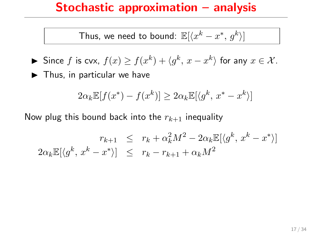Thus, we need to bound:  $\mathbb{E}[\langle x^k-x^*, \, g^k\rangle ]$ 

$$
\blacktriangleright \text{ Since } f \text{ is cvx, } f(x) \ge f(x^k) + \langle g^k, x - x^k \rangle \text{ for any } x \in \mathcal{X}.
$$

 $\blacktriangleright$  Thus, in particular we have

$$
2\alpha_k \mathbb{E}[f(x^*) - f(x^k)] \ge 2\alpha_k \mathbb{E}[\langle g^k, x^* - x^k \rangle]
$$

Now plug this bound back into the  $r_{k+1}$  inequality

$$
r_{k+1} \leq r_k + \alpha_k^2 M^2 - 2\alpha_k \mathbb{E}[\langle g^k, x^k - x^* \rangle]
$$
  

$$
2\alpha_k \mathbb{E}[\langle g^k, x^k - x^* \rangle] \leq r_k - r_{k+1} + \alpha_k M^2
$$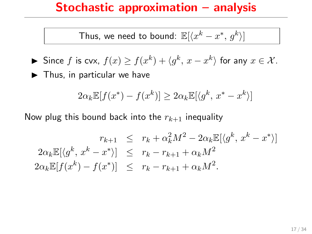Thus, we need to bound:  $\mathbb{E}[\langle x^k-x^*, \, g^k\rangle ]$ 

$$
\blacktriangleright \text{ Since } f \text{ is cvx, } f(x) \ge f(x^k) + \langle g^k, x - x^k \rangle \text{ for any } x \in \mathcal{X}.
$$

 $\blacktriangleright$  Thus, in particular we have

$$
2\alpha_k \mathbb{E}[f(x^*) - f(x^k)] \ge 2\alpha_k \mathbb{E}[\langle g^k, x^* - x^k \rangle]
$$

Now plug this bound back into the  $r_{k+1}$  inequality

$$
r_{k+1} \leq r_k + \alpha_k^2 M^2 - 2\alpha_k \mathbb{E}[\langle g^k, x^k - x^* \rangle]
$$
  
\n
$$
2\alpha_k \mathbb{E}[\langle g^k, x^k - x^* \rangle] \leq r_k - r_{k+1} + \alpha_k M^2
$$
  
\n
$$
2\alpha_k \mathbb{E}[f(x^k) - f(x^*)] \leq r_k - r_{k+1} + \alpha_k M^2.
$$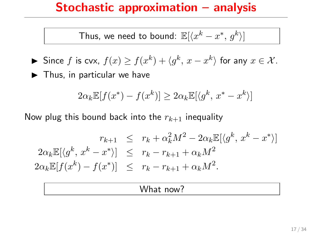Thus, we need to bound:  $\mathbb{E}[\langle x^k-x^*, \, g^k\rangle ]$ 

$$
\blacktriangleright \text{ Since } f \text{ is cvx, } f(x) \ge f(x^k) + \langle g^k, x - x^k \rangle \text{ for any } x \in \mathcal{X}.
$$

 $\blacktriangleright$  Thus, in particular we have

$$
2\alpha_k \mathbb{E}[f(x^*) - f(x^k)] \ge 2\alpha_k \mathbb{E}[\langle g^k, x^* - x^k \rangle]
$$

Now plug this bound back into the  $r_{k+1}$  inequality

$$
r_{k+1} \leq r_k + \alpha_k^2 M^2 - 2\alpha_k \mathbb{E}[\langle g^k, x^k - x^* \rangle]
$$
  
\n
$$
2\alpha_k \mathbb{E}[\langle g^k, x^k - x^* \rangle] \leq r_k - r_{k+1} + \alpha_k M^2
$$
  
\n
$$
2\alpha_k \mathbb{E}[f(x^k) - f(x^*)] \leq r_k - r_{k+1} + \alpha_k M^2.
$$

#### What now?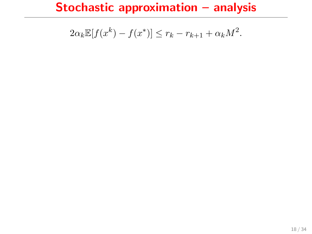$$
2\alpha_k \mathbb{E}[f(x^k) - f(x^*)] \le r_k - r_{k+1} + \alpha_k M^2.
$$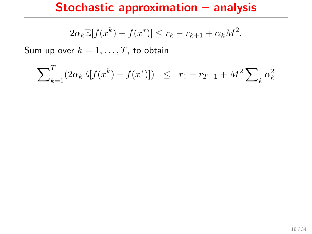$$
2\alpha_k \mathbb{E}[f(x^k) - f(x^*)] \le r_k - r_{k+1} + \alpha_k M^2.
$$

Sum up over  $k = 1, \ldots, T$ , to obtain

$$
\sum_{k=1}^{T} (2\alpha_k \mathbb{E}[f(x^k) - f(x^*)]) \leq r_1 - r_{T+1} + M^2 \sum_{k} \alpha_k^2
$$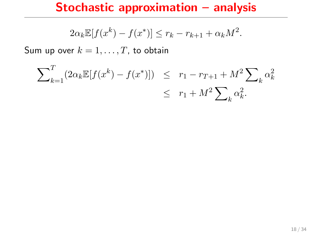$$
2\alpha_k \mathbb{E}[f(x^k) - f(x^*)] \le r_k - r_{k+1} + \alpha_k M^2.
$$

Sum up over  $k = 1, \ldots, T$ , to obtain

$$
\sum_{k=1}^{T} (2\alpha_k \mathbb{E}[f(x^k) - f(x^*)]) \leq r_1 - r_{T+1} + M^2 \sum_{k} \alpha_k^2
$$
  

$$
\leq r_1 + M^2 \sum_{k} \alpha_k^2.
$$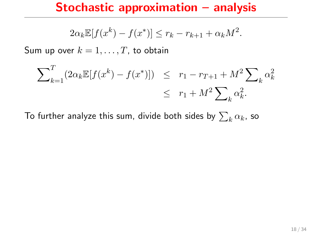$$
2\alpha_k \mathbb{E}[f(x^k) - f(x^*)] \le r_k - r_{k+1} + \alpha_k M^2.
$$

Sum up over  $k = 1, \ldots, T$ , to obtain

$$
\sum_{k=1}^{T} (2\alpha_k \mathbb{E}[f(x^k) - f(x^*)]) \leq r_1 - r_{T+1} + M^2 \sum_{k} \alpha_k^2
$$
  
 
$$
\leq r_1 + M^2 \sum_{k} \alpha_k^2.
$$

To further analyze this sum, divide both sides by  $\sum_k \alpha_k$ , so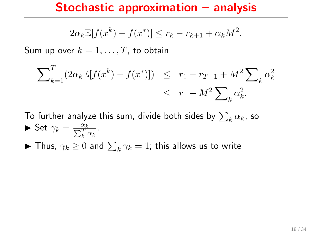$$
2\alpha_k \mathbb{E}[f(x^k) - f(x^*)] \le r_k - r_{k+1} + \alpha_k M^2.
$$

Sum up over  $k = 1, \ldots, T$ , to obtain

$$
\sum_{k=1}^{T} (2\alpha_k \mathbb{E}[f(x^k) - f(x^*)]) \leq r_1 - r_{T+1} + M^2 \sum_{k} \alpha_k^2
$$
  

$$
\leq r_1 + M^2 \sum_{k} \alpha_k^2.
$$

To further analyze this sum, divide both sides by  $\sum_k \alpha_k$ , so Set  $\gamma_k = \frac{\alpha_k}{\sum_k^T \alpha_k}$ .  $\blacktriangleright$  Thus,  $\gamma_k \geq 0$  and  $\sum_k \gamma_k = 1$ ; this allows us to write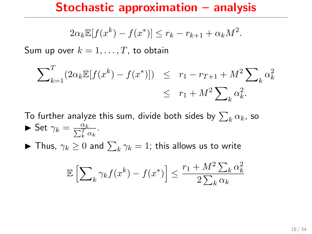$$
2\alpha_k \mathbb{E}[f(x^k) - f(x^*)] \le r_k - r_{k+1} + \alpha_k M^2.
$$

Sum up over  $k = 1, \ldots, T$ , to obtain

$$
\sum_{k=1}^{T} (2\alpha_k \mathbb{E}[f(x^k) - f(x^*)]) \leq r_1 - r_{T+1} + M^2 \sum_{k} \alpha_k^2
$$
  
 
$$
\leq r_1 + M^2 \sum_{k} \alpha_k^2.
$$

To further analyze this sum, divide both sides by  $\sum_k \alpha_k$ , so Set  $\gamma_k = \frac{\alpha_k}{\sum_k^T \alpha_k}$ .  $\blacktriangleright$  Thus,  $\gamma_k \geq 0$  and  $\sum_k \gamma_k = 1$ ; this allows us to write

$$
\mathbb{E}\left[\sum_{k} \gamma_{k} f(x^{k}) - f(x^{*})\right] \leq \frac{r_{1} + M^{2} \sum_{k} \alpha_{k}^{2}}{2 \sum_{k} \alpha_{k}}
$$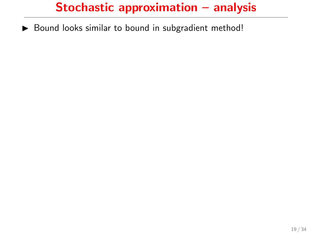$\triangleright$  Bound looks similar to bound in subgradient method!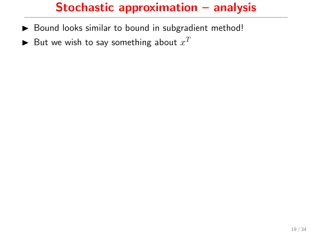- ▶ Bound looks similar to bound in subgradient method!
- $\blacktriangleright$  But we wish to say something about  $x^T$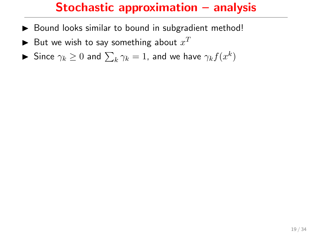- $\triangleright$  Bound looks similar to bound in subgradient method!
- $\blacktriangleright$  But we wish to say something about  $x^T$
- $\blacktriangleright$  Since  $\gamma_k \geq 0$  and  $\sum_k \gamma_k = 1$ , and we have  $\gamma_k f(x^k)$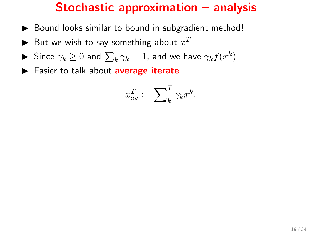- $\triangleright$  Bound looks similar to bound in subgradient method!
- $\blacktriangleright$  But we wish to say something about  $x^T$
- $\blacktriangleright$  Since  $\gamma_k \geq 0$  and  $\sum_k \gamma_k = 1$ , and we have  $\gamma_k f(x^k)$
- $\blacktriangleright$  Easier to talk about average iterate

$$
x_{av}^T := \sum\nolimits_k^T \gamma_k x^k.
$$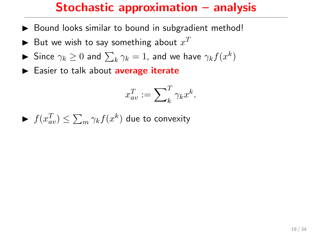- $\triangleright$  Bound looks similar to bound in subgradient method!
- $\blacktriangleright$  But we wish to say something about  $x^T$
- $\blacktriangleright$  Since  $\gamma_k \geq 0$  and  $\sum_k \gamma_k = 1$ , and we have  $\gamma_k f(x^k)$
- $\blacktriangleright$  Easier to talk about average iterate

$$
x_{av}^T := \sum\nolimits_k^T \gamma_k x^k.
$$

$$
\blacktriangleright \ f(x_{av}^T) \le \sum_m \gamma_k f(x^k) \text{ due to convexity}
$$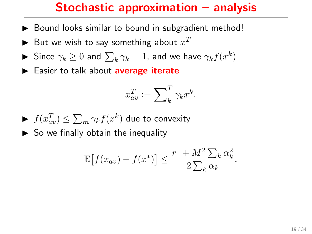- $\triangleright$  Bound looks similar to bound in subgradient method!
- $\blacktriangleright$  But we wish to say something about  $x^T$
- $\blacktriangleright$  Since  $\gamma_k \geq 0$  and  $\sum_k \gamma_k = 1$ , and we have  $\gamma_k f(x^k)$
- $\blacktriangleright$  Easier to talk about average iterate

$$
x_{av}^T := \sum\nolimits_k^T \gamma_k x^k.
$$

 $\blacktriangleright~~ f(x_{av}^T) \leq \sum_m \gamma_k f(x^k)$  due to convexity

 $\triangleright$  So we finally obtain the inequality

$$
\mathbb{E}\left[f(x_{av}) - f(x^*)\right] \le \frac{r_1 + M^2 \sum_k \alpha_k^2}{2 \sum_k \alpha_k}.
$$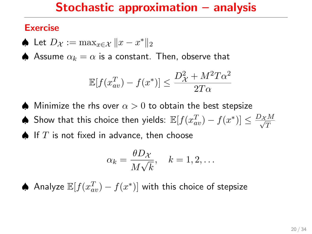## Exercise

♦ Let  $D_{\mathcal{X}} := \max_{x \in \mathcal{X}} \|x - x^*\|_2$ 

♦ Assume  $\alpha_k = \alpha$  is a constant. Then, observe that

$$
\mathbb{E}[f(x_{av}^T) - f(x^*)] \le \frac{D_{\mathcal{X}}^2 + M^2 T \alpha^2}{2T\alpha}
$$

- $\spadesuit$  Minimize the rhs over  $\alpha > 0$  to obtain the best stepsize
- ♦ Show that this choice then yields:  $\mathbb{E}[f(x_{av}^T) f(x^*)] \leq \frac{D_{\mathcal{X}} M}{\sqrt{T}}$
- $\spadesuit$  If  $T$  is not fixed in advance, then choose

$$
\alpha_k = \frac{\theta D\chi}{M\sqrt{k}}, \quad k = 1, 2, \dots
$$

♦ Analyze  $\mathbb{E}[f(x_{av}^T) - f(x^*)]$  with this choice of stepsize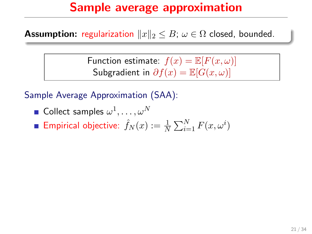**Assumption:** regularization  $||x||_2 \leq B$ ;  $\omega \in \Omega$  closed, bounded.

Function estimate:  $f(x) = \mathbb{E}[F(x, \omega)]$ Subgradient in  $\partial f(x) = \mathbb{E}[G(x,\omega)]$ 

Sample Average Approximation (SAA):

Collect samples  $\omega^1,\ldots,\omega^N$ Empirical objective:  $\hat{f}_N(x) := \frac{1}{N} \sum_{i=1}^N F(x, \omega^i)$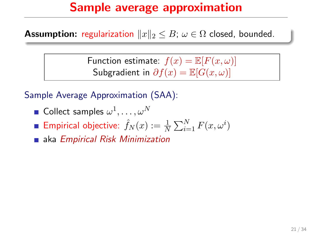**Assumption:** regularization  $||x||_2 \leq B$ ;  $\omega \in \Omega$  closed, bounded.

Function estimate:  $f(x) = \mathbb{E}[F(x, \omega)]$ Subgradient in  $\partial f(x) = \mathbb{E}[G(x,\omega)]$ 

Sample Average Approximation (SAA):

- Collect samples  $\omega^1,\ldots,\omega^N$
- Empirical objective:  $\hat{f}_N(x) := \frac{1}{N} \sum_{i=1}^N F(x, \omega^i)$
- **aka Empirical Risk Minimization**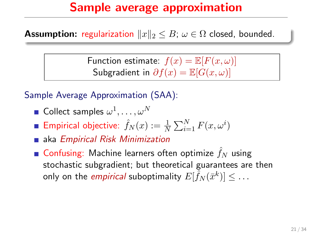**Assumption:** regularization  $||x||_2 \leq B$ ;  $\omega \in \Omega$  closed, bounded.

Function estimate:  $f(x) = \mathbb{E}[F(x, \omega)]$ Subgradient in  $\partial f(x) = \mathbb{E}[G(x,\omega)]$ 

Sample Average Approximation (SAA):

- Collect samples  $\omega^1,\ldots,\omega^N$
- Empirical objective:  $\hat{f}_N(x) := \frac{1}{N} \sum_{i=1}^N F(x, \omega^i)$
- **aka Empirical Risk Minimization**
- **Confusing:** Machine learners often optimize  $f_N$  using stochastic subgradient; but theoretical guarantees are then only on the *empirical* suboptimality  $E[\tilde{\hat{f}}_N(\bar{x}^k)] \leq \dots$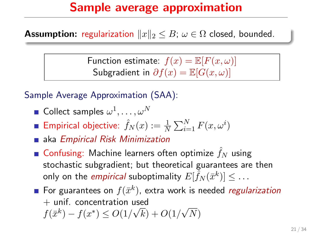**Assumption:** regularization  $||x||_2 \leq B$ ;  $\omega \in \Omega$  closed, bounded.

Function estimate:  $f(x) = \mathbb{E}[F(x, \omega)]$ Subgradient in  $\partial f(x) = \mathbb{E}[G(x,\omega)]$ 

Sample Average Approximation (SAA):

- Collect samples  $\omega^1,\ldots,\omega^N$
- Empirical objective:  $\hat{f}_N(x) := \frac{1}{N} \sum_{i=1}^N F(x, \omega^i)$
- **aka Empirical Risk Minimization**
- **Confusing:** Machine learners often optimize  $f_N$  using stochastic subgradient; but theoretical guarantees are then only on the *empirical* suboptimality  $E[\tilde{\hat{f}}_N(\bar{x}^k)] \leq \dots$
- For guarantees on  $f(\bar{x}^k)$ , extra work is needed regularization + unif. concentration used √  $f(\bar{x}^k) - f(x^*) \leq O(1/\sqrt{k}) + O(1/\sqrt{k})$ √  $\left( N\right)$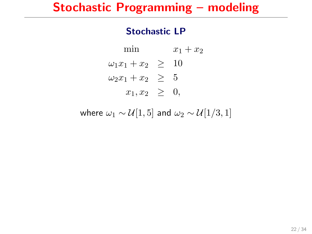#### Stochastic LP

min  $x_1 + x_2$  $\omega_1 x_1 + x_2 \geq 10$  $\omega_2 x_1 + x_2 \geq 5$  $x_1, x_2 \geq 0$ ,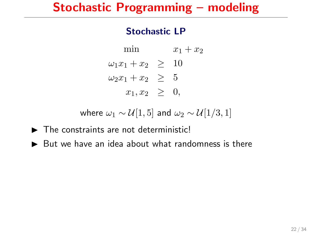#### Stochastic LP

min  $x_1 + x_2$  $\omega_1 x_1 + x_2 \geq 10$  $\omega_2 x_1 + x_2 > 5$  $x_1, x_2 > 0$ ,

- $\blacktriangleright$  The constraints are not deterministic!
- $\triangleright$  But we have an idea about what randomness is there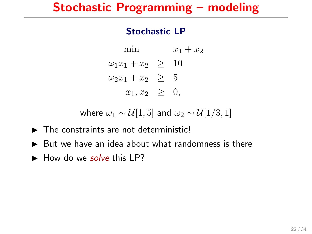#### Stochastic LP

min  $x_1 + x_2$  $\omega_1 x_1 + x_2 \geq 10$  $\omega_2 x_1 + x_2 > 5$  $x_1, x_2 > 0$ ,

- $\blacktriangleright$  The constraints are not deterministic!
- $\triangleright$  But we have an idea about what randomness is there
- $\blacktriangleright$  How do we solve this LP?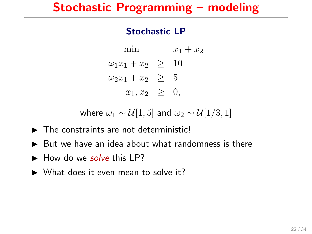#### Stochastic LP

min  $x_1 + x_2$  $\omega_1 x_1 + x_2 \geq 10$  $\omega_2 x_1 + x_2 > 5$  $x_1, x_2 > 0$ ,

- $\blacktriangleright$  The constraints are not deterministic!
- $\triangleright$  But we have an idea about what randomness is there
- $\blacktriangleright$  How do we solve this LP?
- $\triangleright$  What does it even mean to solve it?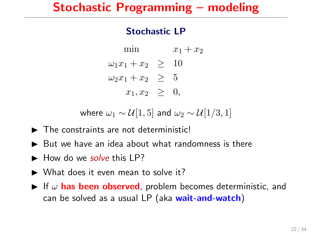#### Stochastic LP

min  $x_1 + x_2$  $\omega_1 x_1 + x_2 \geq 10$  $\omega_2 x_1 + x_2 > 5$  $x_1, x_2 > 0$ ,

- $\blacktriangleright$  The constraints are not deterministic!
- $\triangleright$  But we have an idea about what randomness is there
- $\blacktriangleright$  How do we solve this LP?
- $\triangleright$  What does it even mean to solve it?
- If  $\omega$  has been observed, problem becomes deterministic, and can be solved as a usual LP (aka wait-and-watch)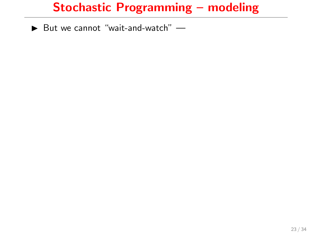$\blacktriangleright$  But we cannot "wait-and-watch"  $\blacktriangleright$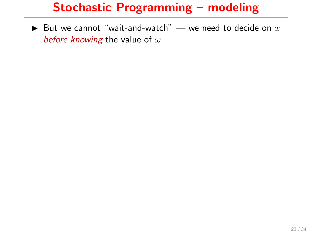$\triangleright$  But we cannot "wait-and-watch" — we need to decide on  $x$ before knowing the value of  $\omega$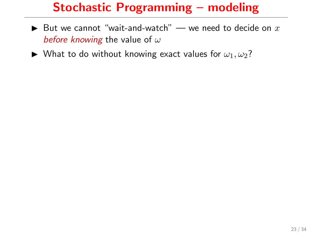- $\blacktriangleright$  But we cannot "wait-and-watch" we need to decide on  $x$ before knowing the value of  $\omega$
- $\blacktriangleright$  What to do without knowing exact values for  $\omega_1, \omega_2$ ?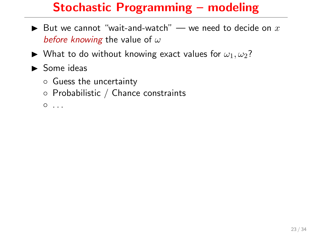- $\blacktriangleright$  But we cannot "wait-and-watch" we need to decide on  $x$ before knowing the value of  $\omega$
- $\blacktriangleright$  What to do without knowing exact values for  $\omega_1, \omega_2$ ?
- $\blacktriangleright$  Some ideas
	- Guess the uncertainty
	- Probabilistic / Chance constraints
	- $^{\circ}$  ...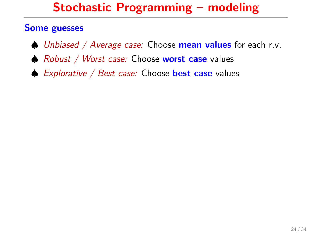#### Some guesses

- $\triangle$  Unbiased / Average case: Choose **mean values** for each r.v.
- $\triangle$  Robust / Worst case: Choose worst case values
- $\spadesuit$  Explorative / Best case: Choose best case values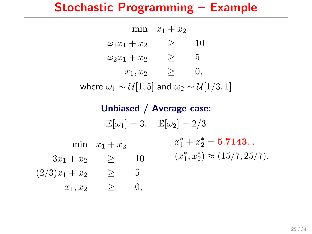## Stochastic Programming – Example

|                      | min $x_1+x_2$ |    |
|----------------------|---------------|----|
| $\omega_1x_1+x_2$    | ↗             | 10 |
| $\omega_2 x_1 + x_2$ | >             | 5. |
| $x_1, x_2$           | >             | 0. |
|                      |               |    |

where  $\omega_1 \sim \mathcal{U}[1, 5]$  and  $\omega_2 \sim \mathcal{U}[1/3, 1]$ 

## Unbiased / Average case:  $\mathbb{E}[\omega_1] = 3$ ,  $\mathbb{E}[\omega_2] = 2/3$ min  $x_1 + x_2$  $3x_1 + x_2 \geq 10$  $(2/3)x_1 + x_2 \geq 5$  $x_1, x_2 \geq 0,$  $x_1^* + x_2^* = 5.7143...$  $(x_1^*, x_2^*) \approx (15/7, 25/7).$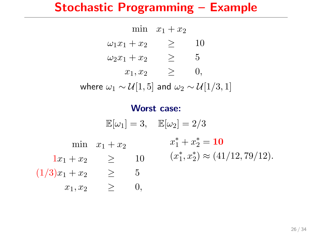## Stochastic Programming – Example

|                      | min $x_1 + x_2$ |    |
|----------------------|-----------------|----|
| $\omega_1x_1+x_2$    |                 | 10 |
| $\omega_2 x_1 + x_2$ |                 | 5  |
| $x_1, x_2$           | >               | U, |
|                      |                 |    |

where  $\omega_1 \sim \mathcal{U}[1, 5]$  and  $\omega_2 \sim \mathcal{U}[1/3, 1]$ 

#### Worst case:

 $\mathbb{E}[\omega_1] = 3$ ,  $\mathbb{E}[\omega_2] = 2/3$ min  $x_1 + x_2$  $1x_1 + x_2 \geq 10$  $(1/3)x_1 + x_2 \geq 5$  $x_1, x_2 \geq 0,$  $x_1^* + x_2^* = 10$  $(x_1^*, x_2^*) \approx (41/12, 79/12).$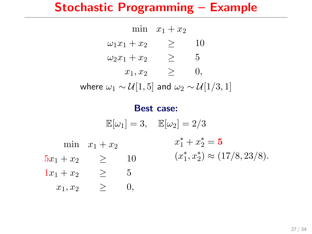## Stochastic Programming – Example

min  $x_1 + x_2$  $\omega_1 x_1 + x_2 \qquad \geq \qquad 10$  $\omega_2 x_1 + x_2 \qquad \geq \qquad 5$  $x_1, x_2 > 0,$ 

where  $\omega_1 \sim \mathcal{U}[1, 5]$  and  $\omega_2 \sim \mathcal{U}[1/3, 1]$ 

#### Best case:

 $\mathbb{E}[\omega_1] = 3$ ,  $\mathbb{E}[\omega_2] = 2/3$ min  $x_1 + x_2$  $5x_1 + x_2 \geq 10$  $1x_1 + x_2 \geq 5$  $x_1, x_2 \geq 0,$  $x_1^* + x_2^* = 5$  $(x_1^*, x_2^*) \approx (17/8, 23/8).$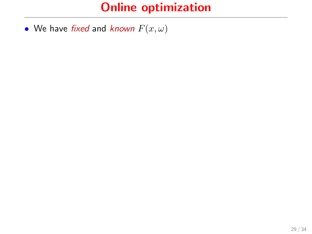• We have fixed and known  $F(x, \omega)$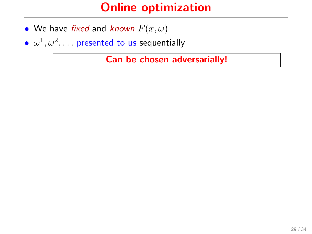- We have fixed and known  $F(x, \omega)$
- $\bullet \ \omega^1, \omega^2, \dots$  presented to us sequentially

Can be chosen adversarially!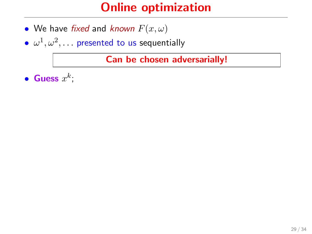- We have fixed and known  $F(x, \omega)$
- $\bullet \ \omega^1, \omega^2, \dots$  presented to us sequentially

Can be chosen adversarially!

• Guess  $x^k$ ;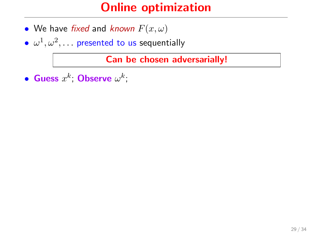- We have fixed and known  $F(x, \omega)$
- $\bullet \ \omega^1, \omega^2, \dots$  presented to us sequentially

Can be chosen adversarially!

• Guess  $x^k$ ; Observe  $\omega^k$ ;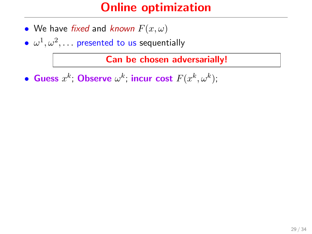- We have fixed and known  $F(x, \omega)$
- $\bullet \ \omega^1, \omega^2, \dots$  presented to us sequentially

Can be chosen adversarially!

• Guess  $x^k$ ; Observe  $\omega^k$ ; incur cost  $F(x^k,\omega^k)$ ;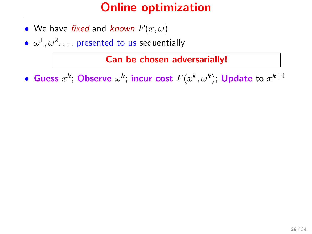- We have fixed and known  $F(x, \omega)$
- $\bullet \ \omega^1, \omega^2, \dots$  presented to us sequentially

Can be chosen adversarially!

• Guess  $x^k$ ; Observe  $\omega^k$ ; incur cost  $F(x^k,\omega^k)$ ; Update to  $x^{k+1}$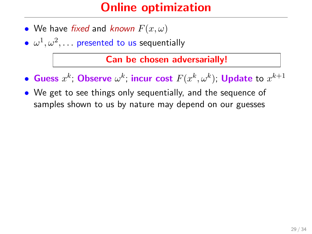- We have fixed and known  $F(x, \omega)$
- $\bullet \ \omega^1, \omega^2, \dots$  presented to us sequentially

Can be chosen adversarially!

- Guess  $x^k$ ; Observe  $\omega^k$ ; incur cost  $F(x^k,\omega^k)$ ; Update to  $x^{k+1}$
- We get to see things only sequentially, and the sequence of samples shown to us by nature may depend on our guesses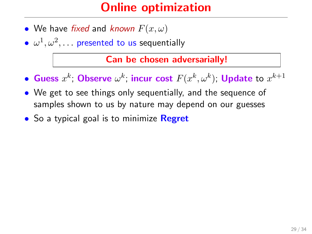- We have fixed and known  $F(x, \omega)$
- $\bullet \ \omega^1, \omega^2, \dots$  presented to us sequentially

#### Can be chosen adversarially!

- Guess  $x^k$ ; Observe  $\omega^k$ ; incur cost  $F(x^k,\omega^k)$ ; Update to  $x^{k+1}$
- We get to see things only sequentially, and the sequence of samples shown to us by nature may depend on our guesses
- So a typical goal is to minimize **Regret**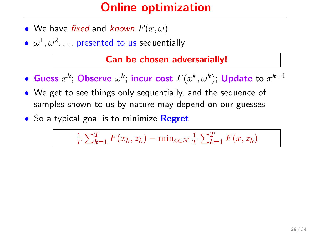- We have fixed and known  $F(x, \omega)$
- $\bullet \ \omega^1, \omega^2, \dots$  presented to us sequentially

Can be chosen adversarially!

- Guess  $x^k$ ; Observe  $\omega^k$ ; incur cost  $F(x^k,\omega^k)$ ; Update to  $x^{k+1}$
- We get to see things only sequentially, and the sequence of samples shown to us by nature may depend on our guesses
- So a typical goal is to minimize **Regret**

1  $\frac{1}{T} \sum_{k=1}^{T} F(x_k, z_k) - \min_{x \in \mathcal{X}} \frac{1}{T}$  $\frac{1}{T} \sum_{k=1}^{T} F(x, z_k)$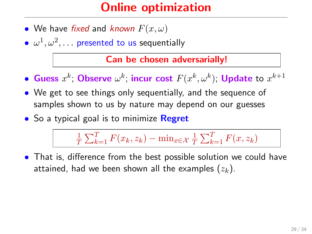- We have fixed and known  $F(x, \omega)$
- $\bullet \ \omega^1, \omega^2, \dots$  presented to us sequentially

Can be chosen adversarially!

- Guess  $x^k$ ; Observe  $\omega^k$ ; incur cost  $F(x^k,\omega^k)$ ; Update to  $x^{k+1}$
- We get to see things only sequentially, and the sequence of samples shown to us by nature may depend on our guesses
- So a typical goal is to minimize **Regret**

1  $\frac{1}{T} \sum_{k=1}^{T} F(x_k, z_k) - \min_{x \in \mathcal{X}} \frac{1}{T}$  $\frac{1}{T} \sum_{k=1}^{T} F(x, z_k)$ 

• That is, difference from the best possible solution we could have attained, had we been shown all the examples  $(z_k)$ .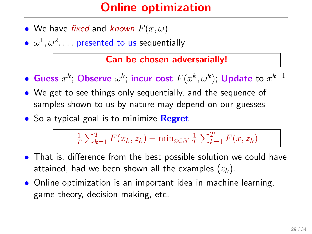- We have fixed and known  $F(x, \omega)$
- $\bullet \ \omega^1, \omega^2, \dots$  presented to us sequentially

Can be chosen adversarially!

- Guess  $x^k$ ; Observe  $\omega^k$ ; incur cost  $F(x^k,\omega^k)$ ; Update to  $x^{k+1}$
- We get to see things only sequentially, and the sequence of samples shown to us by nature may depend on our guesses
- So a typical goal is to minimize **Regret**

1  $\frac{1}{T} \sum_{k=1}^{T} F(x_k, z_k) - \min_{x \in \mathcal{X}} \frac{1}{T}$  $\frac{1}{T} \sum_{k=1}^{T} F(x, z_k)$ 

- That is, difference from the best possible solution we could have attained, had we been shown all the examples  $(z_k)$ .
- Online optimization is an important idea in machine learning, game theory, decision making, etc.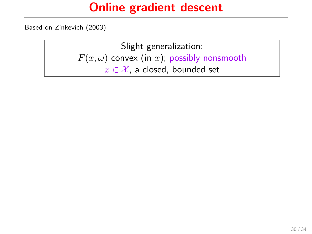Based on Zinkevich (2003)

Slight generalization:  $F(x, \omega)$  convex (in x); possibly nonsmooth  $x \in \mathcal{X}$ , a closed, bounded set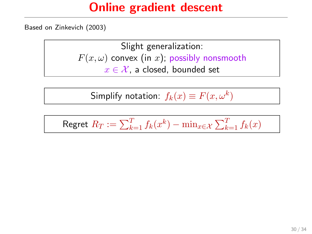Based on Zinkevich (2003)

Slight generalization:  $F(x, \omega)$  convex (in x); possibly nonsmooth  $x \in \mathcal{X}$ , a closed, bounded set

Simplify notation:  $f_k(x)\equiv F(x,\omega^k)$ 

$$
\text{Regret } R_T := \sum_{k=1}^T f_k(x^k) - \min_{x \in \mathcal{X}} \sum_{k=1}^T f_k(x)
$$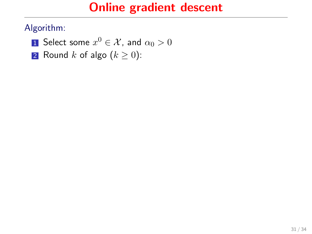- $\bf{1}$  Select some  $x^0\in\mathcal{X}$ , and  $\alpha_0>0$
- 2 Round k of algo  $(k \geq 0)$ :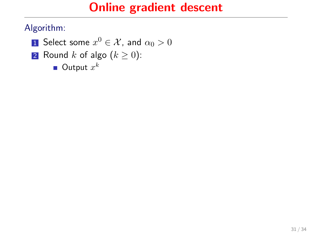- $\bf{1}$  Select some  $x^0\in\mathcal{X}$ , and  $\alpha_0>0$
- 2 Round k of algo  $(k \geq 0)$ :
	- Output  $x^k$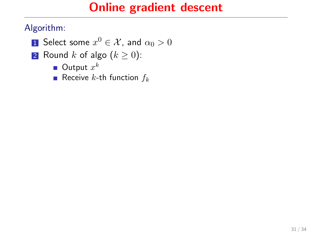- $\bf{1}$  Select some  $x^0\in\mathcal{X}$ , and  $\alpha_0>0$
- 2 Round k of algo  $(k \geq 0)$ :
	- Output  $x^k$
	- Receive k-th function  $f_k$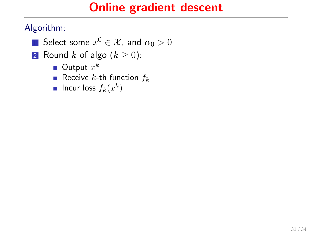- $\bf{1}$  Select some  $x^0\in\mathcal{X}$ , and  $\alpha_0>0$
- 2 Round k of algo  $(k \geq 0)$ :
	- Output  $x^k$
	- Receive k-th function  $f_k$
	- Incur loss  $f_k(x^k)$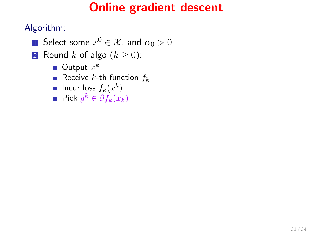- $\bf{1}$  Select some  $x^0\in\mathcal{X}$ , and  $\alpha_0>0$
- 2 Round k of algo  $(k \geq 0)$ :
	- Output  $x^k$
	- Receive k-th function  $f_k$
	- Incur loss  $f_k(x^k)$
	- Pick  $g^k \in \partial f_k(x_k)$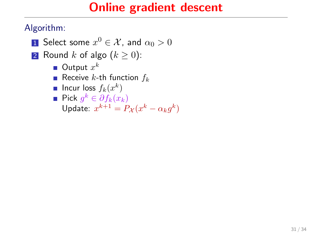- $\bf{1}$  Select some  $x^0\in\mathcal{X}$ , and  $\alpha_0>0$
- 2 Round k of algo  $(k \geq 0)$ :
	- Output  $x^k$
	- Receive k-th function  $f_k$
	- Incur loss  $f_k(x^k)$
	- Pick  $g^k \in \partial f_k(x_k)$ Update:  $x^{k+1} = P_{\mathcal{X}}(x^k - \alpha_k g^k)$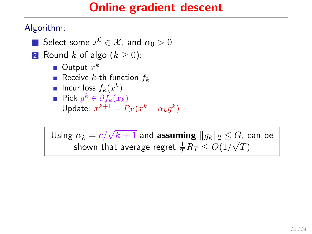Algorithm:

- $\bf{1}$  Select some  $x^0\in\mathcal{X}$ , and  $\alpha_0>0$
- 2 Round k of algo  $(k > 0)$ :
	- Output  $x^k$
	- Receive k-th function  $f_k$
	- Incur loss  $f_k(x^k)$
	- Pick  $g^k \in \partial f_k(x_k)$ Update:  $x^{k+1} = P_{\mathcal{X}}(x^k - \alpha_k g^k)$

Using  $\alpha_k = c/\sqrt{k+1}$  and assuming  $||g_k||_2 \leq G$ , can be shown that average regret  $\frac{1}{T}R_T \leq O(1/\sqrt{T})$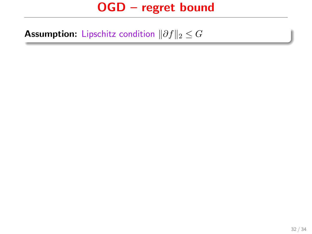**Assumption:** Lipschitz condition  $\|\partial f\|_2 \leq G$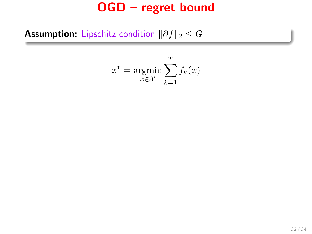**Assumption:** Lipschitz condition  $\|\partial f\|_2 \leq G$ 

$$
x^* = \operatorname*{argmin}_{x \in \mathcal{X}} \sum_{k=1}^{T} f_k(x)
$$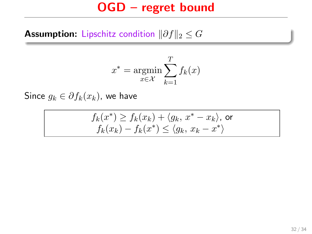#### **Assumption:** Lipschitz condition  $\|\partial f\|_2 \leq G$

$$
x^* = \operatorname*{argmin}_{x \in \mathcal{X}} \sum_{k=1}^{T} f_k(x)
$$

Since  $g_k \in \partial f_k(x_k)$ , we have

$$
f_k(x^*) \ge f_k(x_k) + \langle g_k, x^* - x_k \rangle, \text{ or } f_k(x_k) - f_k(x^*) \le \langle g_k, x_k - x^* \rangle
$$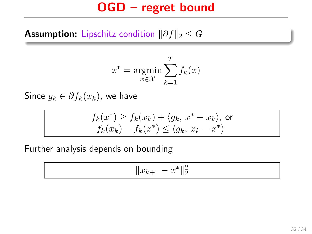#### **Assumption:** Lipschitz condition  $\|\partial f\|_2 \leq G$

$$
x^* = \operatorname*{argmin}_{x \in \mathcal{X}} \sum_{k=1}^{T} f_k(x)
$$

Since  $g_k \in \partial f_k(x_k)$ , we have

$$
f_k(x^*) \ge f_k(x_k) + \langle g_k, x^* - x_k \rangle, \text{ or } f_k(x_k) - f_k(x^*) \le \langle g_k, x_k - x^* \rangle
$$

Further analysis depends on bounding

$$
\|x_{k+1} - x^*\|_2^2
$$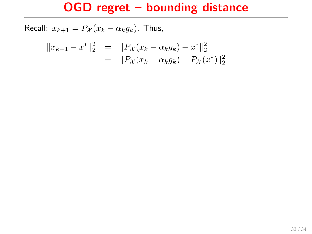$$
||x_{k+1} - x^*||_2^2 = ||P_{\mathcal{X}}(x_k - \alpha_k g_k) - x^*||_2^2
$$
  
= 
$$
||P_{\mathcal{X}}(x_k - \alpha_k g_k) - P_{\mathcal{X}}(x^*)||_2^2
$$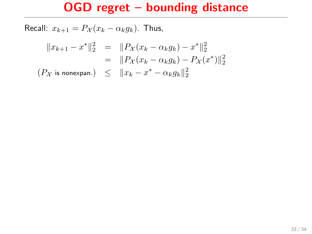$$
||x_{k+1} - x^*||_2^2 = ||P_{\mathcal{X}}(x_k - \alpha_k g_k) - x^*||_2^2
$$
  
= 
$$
||P_{\mathcal{X}}(x_k - \alpha_k g_k) - P_{\mathcal{X}}(x^*)||_2^2
$$
  

$$
(P_{\mathcal{X}} \text{ is nonexpan.}) \le ||x_k - x^* - \alpha_k g_k||_2^2
$$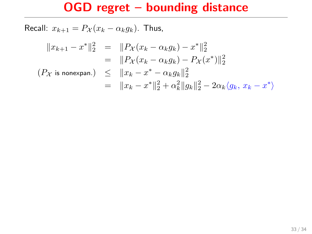$$
||x_{k+1} - x^*||_2^2 = ||P_{\mathcal{X}}(x_k - \alpha_k g_k) - x^*||_2^2
$$
  
\n
$$
= ||P_{\mathcal{X}}(x_k - \alpha_k g_k) - P_{\mathcal{X}}(x^*)||_2^2
$$
  
\n
$$
(P_{\mathcal{X}} \text{ is nonexpan.}) \le ||x_k - x^* - \alpha_k g_k||_2^2
$$
  
\n
$$
= ||x_k - x^*||_2^2 + \alpha_k^2 ||g_k||_2^2 - 2\alpha_k \langle g_k, x_k - x^* \rangle
$$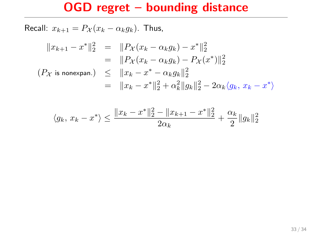$$
||x_{k+1} - x^*||_2^2 = ||P_{\mathcal{X}}(x_k - \alpha_k g_k) - x^*||_2^2
$$
  
\n
$$
= ||P_{\mathcal{X}}(x_k - \alpha_k g_k) - P_{\mathcal{X}}(x^*)||_2^2
$$
  
\n
$$
(P_{\mathcal{X}} \text{ is nonexpan.}) \le ||x_k - x^* - \alpha_k g_k||_2^2
$$
  
\n
$$
= ||x_k - x^*||_2^2 + \alpha_k^2 ||g_k||_2^2 - 2\alpha_k \langle g_k, x_k - x^* \rangle
$$

$$
\langle g_k, x_k - x^* \rangle \le \frac{\|x_k - x^*\|_2^2 - \|x_{k+1} - x^*\|_2^2}{2\alpha_k} + \frac{\alpha_k}{2} \|g_k\|_2^2
$$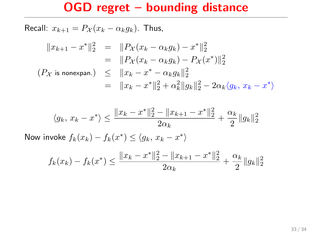Recall:  $x_{k+1} = P_{\mathcal{X}}(x_k - \alpha_k g_k)$ . Thus,

$$
||x_{k+1} - x^*||_2^2 = ||P_{\mathcal{X}}(x_k - \alpha_k g_k) - x^*||_2^2
$$
  
\n
$$
= ||P_{\mathcal{X}}(x_k - \alpha_k g_k) - P_{\mathcal{X}}(x^*)||_2^2
$$
  
\n
$$
(P_{\mathcal{X}} \text{ is nonexpan.}) \le ||x_k - x^* - \alpha_k g_k||_2^2
$$
  
\n
$$
= ||x_k - x^*||_2^2 + \alpha_k^2 ||g_k||_2^2 - 2\alpha_k \langle g_k, x_k - x^* \rangle
$$

$$
\langle g_k, x_k - x^* \rangle \le \frac{\|x_k - x^*\|_2^2 - \|x_{k+1} - x^*\|_2^2}{2\alpha_k} + \frac{\alpha_k}{2} \|g_k\|_2^2
$$

Now invoke  $f_k(x_k) - f_k(x^*) \le \langle g_k, x_k - x^* \rangle$ 

$$
f_k(x_k) - f_k(x^*) \le \frac{\|x_k - x^*\|_2^2 - \|x_{k+1} - x^*\|_2^2}{2\alpha_k} + \frac{\alpha_k}{2} \|g_k\|_2^2
$$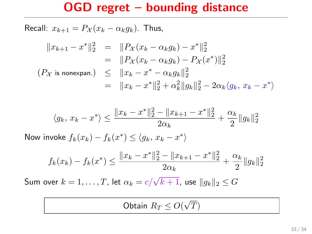Recall:  $x_{k+1} = P_{\mathcal{X}}(x_k - \alpha_k g_k)$ . Thus,

$$
||x_{k+1} - x^*||_2^2 = ||P_{\mathcal{X}}(x_k - \alpha_k g_k) - x^*||_2^2
$$
  
\n
$$
= ||P_{\mathcal{X}}(x_k - \alpha_k g_k) - P_{\mathcal{X}}(x^*)||_2^2
$$
  
\n
$$
(P_{\mathcal{X}} \text{ is nonexpan.}) \le ||x_k - x^* - \alpha_k g_k||_2^2
$$
  
\n
$$
= ||x_k - x^*||_2^2 + \alpha_k^2 ||g_k||_2^2 - 2\alpha_k \langle g_k, x_k - x^* \rangle
$$

$$
\langle g_k, x_k - x^* \rangle \le \frac{\|x_k - x^*\|_2^2 - \|x_{k+1} - x^*\|_2^2}{2\alpha_k} + \frac{\alpha_k}{2} \|g_k\|_2^2
$$

Now invoke  $f_k(x_k) - f_k(x^*) \le \langle g_k, x_k - x^* \rangle$ 

$$
f_k(x_k) - f_k(x^*) \le \frac{\|x_k - x^*\|_2^2 - \|x_{k+1} - x^*\|_2^2}{2\alpha_k} + \frac{\alpha_k}{2} \|g_k\|_2^2
$$

Sum over  $k=1,\ldots,T$ , let  $\alpha_k = c/\sqrt{k+1}$ , use  $\|g_k\|_2 \leq G$ 

Obtain  $R_T \leq O($ √  $\scriptstyle T)$